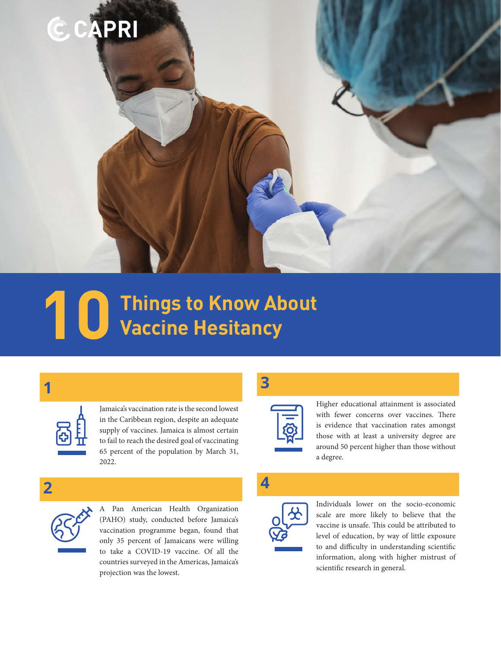

# **Things to Know About 10 Vaccine Hesitancy**

**1** 



Jamaica's vaccination rate is the second lowest in the Caribbean region, despite an adequate supply of vaccines. Jamaica is almost certain to fail to reach the desired goal of vaccinating 65 percent of the population by March 31, 2022.

**3** 



Higher educational attainment is associated with fewer concerns over vaccines. There is evidence that vaccination rates amongst those with at least a university degree are around 50 percent higher than those without a degree.



**2** 

A Pan American Health Organization (PAHO) study, conducted before Jamaica's vaccination programme began, found that only 35 percent of Jamaicans were willing to take a COVID-19 vaccine. Of all the countries surveyed in the Americas, Jamaica's projection was the lowest.



Individuals lower on the socio-economic scale are more likely to believe that the vaccine is unsafe. This could be attributed to level of education, by way of little exposure to and difficulty in understanding scientific information, along with higher mistrust of scientific research in general.